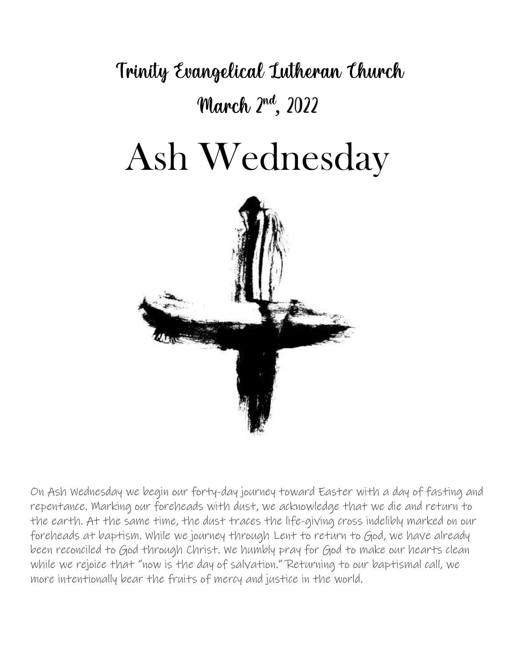Trinity Evangelical Lutheran Church March 2nd, 2022

# Ash Wednesday



On Ash Wednesday we begin our forty-day journey toward Easter with a day of fasting and repentance. Marking our foreheads with dust, we acknowledge that we die and return to the earth. At the same time, the dust traces the life-giving cross indelibly marked on our foreheads at baptism. While we journey through Lent to return to God, we have already been reconciled to God through Christ. We humbly pray for God to make our hearts clean while we rejoice that "now is the day of salvation." Returning to our baptismal call, we more intentionally bear the fruits of mercy and justice in the world.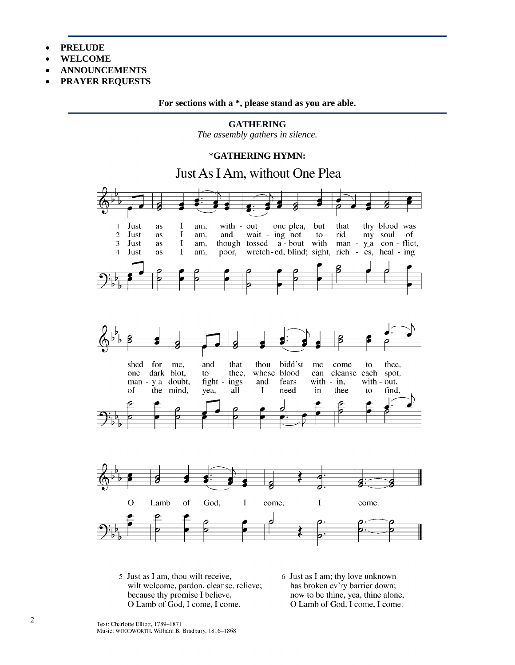- **PRELUDE**
- **WELCOME**
- **ANNOUNCEMENTS**
- **PRAYER REQUESTS**

**For sections with a \*, please stand as you are able.**

**GATHERING** *The assembly gathers in silence.*

#### \***GATHERING HYMN:**

Just As I Am, without One Plea







- 5 Just as I am, thou wilt receive, wilt welcome, pardon, cleanse, relieve; because thy promise I believe, O Lamb of God, I come, I come.
- 6 Just as I am; thy love unknown has broken ev'ry barrier down; now to be thine, yea, thine alone, O Lamb of God, I come, I come.

Text: Charlotte Elliott, 1789-1871 Music: WOODWORTH, William B. Bradbury, 1816-1868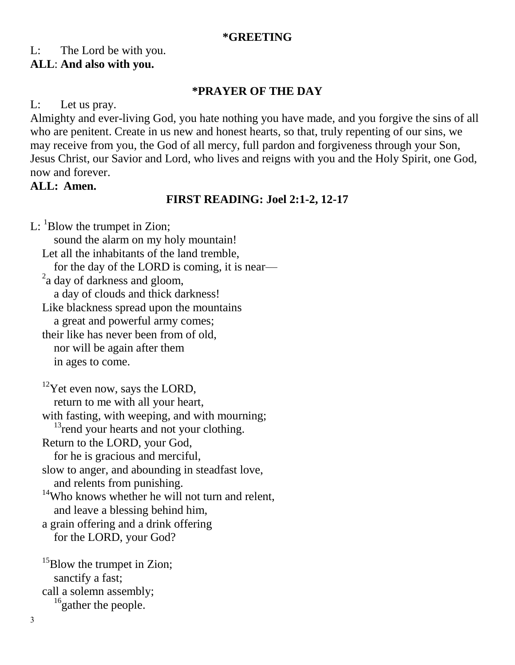#### **\*GREETING**

#### L: The Lord be with you.

#### **ALL**: **And also with you.**

#### **\*PRAYER OF THE DAY**

L: Let us pray.

Almighty and ever-living God, you hate nothing you have made, and you forgive the sins of all who are penitent. Create in us new and honest hearts, so that, truly repenting of our sins, we may receive from you, the God of all mercy, full pardon and forgiveness through your Son, Jesus Christ, our Savior and Lord, who lives and reigns with you and the Holy Spirit, one God, now and forever.

#### **ALL: Amen.**

### **FIRST READING: Joel 2:1-2, 12-17**

L:  ${}^{1}$ Blow the trumpet in Zion; sound the alarm on my holy mountain! Let all the inhabitants of the land tremble, for the day of the LORD is coming, it is near—  $2a$  day of darkness and gloom, a day of clouds and thick darkness! Like blackness spread upon the mountains a great and powerful army comes; their like has never been from of old, nor will be again after them in ages to come.  $12$ Yet even now, says the LORD, return to me with all your heart, with fasting, with weeping, and with mourning;  $13$ <sub>rend</sub> your hearts and not your clothing. Return to the LORD, your God, for he is gracious and merciful, slow to anger, and abounding in steadfast love, and relents from punishing. <sup>14</sup>Who knows whether he will not turn and relent, and leave a blessing behind him, a grain offering and a drink offering for the LORD, your God?

<sup>15</sup>Blow the trumpet in Zion; sanctify a fast; call a solemn assembly; <sup>16</sup>gather the people.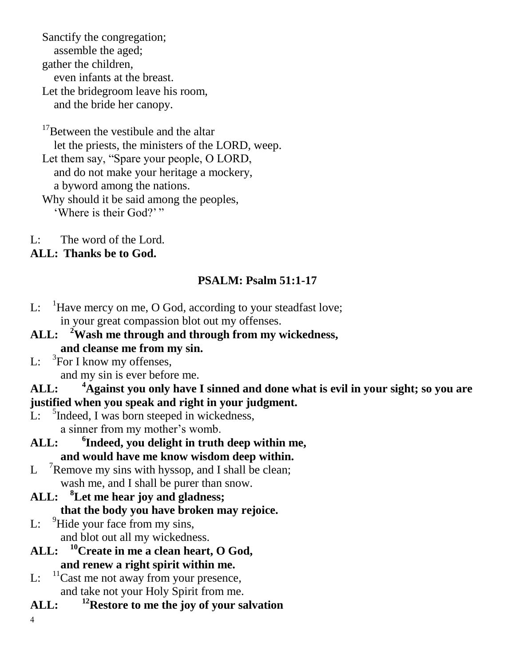Sanctify the congregation; assemble the aged; gather the children, even infants at the breast. Let the bridegroom leave his room, and the bride her canopy.

<sup>17</sup>Between the vestibule and the altar let the priests, the ministers of the LORD, weep. Let them say, "Spare your people, O LORD, and do not make your heritage a mockery, a byword among the nations.

Why should it be said among the peoples, 'Where is their God?'"

L: The word of the Lord.

# **ALL: Thanks be to God.**

# **PSALM: Psalm 51:1-17**

- L:  $\frac{1}{1}$ Have mercy on me, O God, according to your steadfast love; in your great compassion blot out my offenses.
- **ALL: <sup>2</sup>Wash me through and through from my wickedness, and cleanse me from my sin.**
- $\mathbf{L}$ :  ${}^{3}$ For I know my offenses,

and my sin is ever before me.

# **ALL: <sup>4</sup>Against you only have I sinned and done what is evil in your sight; so you are justified when you speak and right in your judgment.**

- L: <sup>5</sup>Indeed, I was born steeped in wickedness, a sinner from my mother's womb.
- **ALL: <sup>6</sup> Indeed, you delight in truth deep within me, and would have me know wisdom deep within.**
- $\mathbf{L}$  $\mu$ <sup>7</sup>Remove my sins with hyssop, and I shall be clean; wash me, and I shall be purer than snow.
- **ALL: <sup>8</sup>Let me hear joy and gladness;**

# **that the body you have broken may rejoice.**

- L:  $9$ Hide your face from my sins, and blot out all my wickedness.
- **ALL: <sup>10</sup>Create in me a clean heart, O God, and renew a right spirit within me.**
- L:  $\frac{11}{2}$ Cast me not away from your presence, and take not your Holy Spirit from me.
- **ALL: <sup>12</sup>Restore to me the joy of your salvation**
- 4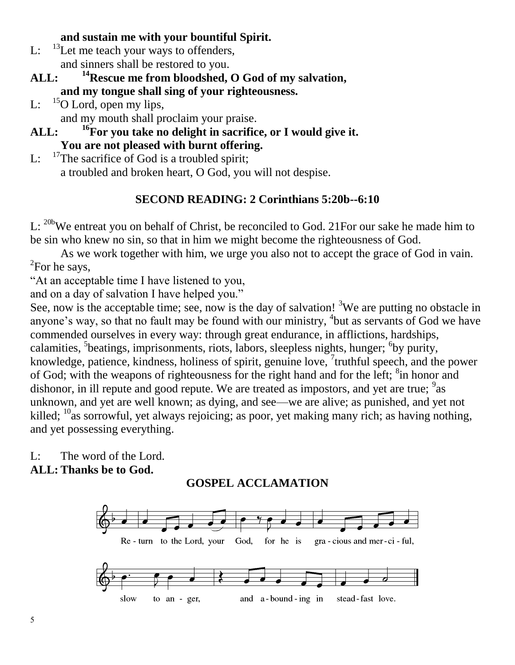# **and sustain me with your bountiful Spirit.**

- L:  $^{13}$ Let me teach your ways to offenders, and sinners shall be restored to you.
- **ALL: <sup>14</sup>Rescue me from bloodshed, O God of my salvation, and my tongue shall sing of your righteousness.**
- L:  $^{15}$ O Lord, open my lips, and my mouth shall proclaim your praise.
- **ALL: <sup>16</sup>For you take no delight in sacrifice, or I would give it. You are not pleased with burnt offering.**
- L: <sup>17</sup>The sacrifice of God is a troubled spirit; a troubled and broken heart, O God, you will not despise.

# **SECOND READING: 2 Corinthians 5:20b--6:10**

L: <sup>20b</sup>We entreat you on behalf of Christ, be reconciled to God. 21For our sake he made him to be sin who knew no sin, so that in him we might become the righteousness of God.

As we work together with him, we urge you also not to accept the grace of God in vain.  ${}^{2}$ For he says,

"At an acceptable time I have listened to you,

and on a day of salvation I have helped you."

See, now is the acceptable time; see, now is the day of salvation! <sup>3</sup>We are putting no obstacle in anyone's way, so that no fault may be found with our ministry,  $4$  but as servants of God we have commended ourselves in every way: through great endurance, in afflictions, hardships, calamities, <sup>5</sup>beatings, imprisonments, riots, labors, sleepless nights, hunger; <sup>6</sup>by purity, knowledge, patience, kindness, holiness of spirit, genuine love, <sup>7</sup>truthful speech, and the power of God; with the weapons of righteousness for the right hand and for the left; <sup>8</sup>in honor and dishonor, in ill repute and good repute. We are treated as impostors, and yet are true;  $9a$ s unknown, and yet are well known; as dying, and see—we are alive; as punished, and yet not killed;  $^{10}$ as sorrowful, yet always rejoicing; as poor, yet making many rich; as having nothing, and yet possessing everything.

L: The word of the Lord. **ALL: Thanks be to God.**

# **GOSPEL ACCLAMATION**

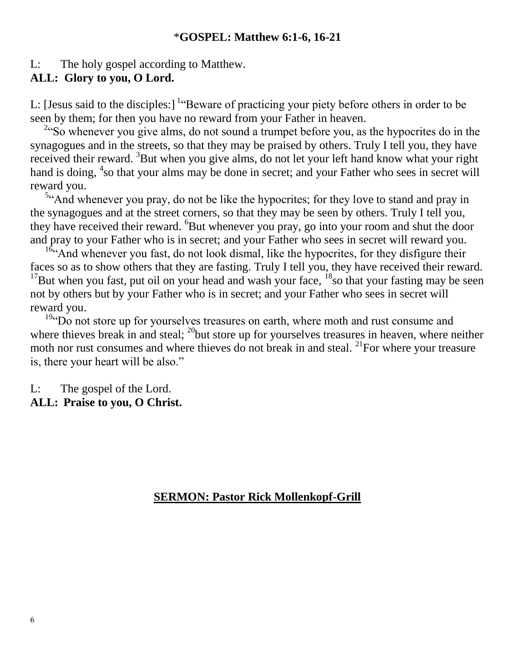#### \***GOSPEL: Matthew 6:1-6, 16-21**

L: The holy gospel according to Matthew.

#### **ALL: Glory to you, O Lord.**

L: [Jesus said to the disciples:]  $\text{``Beware of practicing your piety before others in order to be}$ seen by them; for then you have no reward from your Father in heaven.

<sup>2</sup>"So whenever you give alms, do not sound a trumpet before you, as the hypocrites do in the synagogues and in the streets, so that they may be praised by others. Truly I tell you, they have received their reward. <sup>3</sup>But when you give alms, do not let your left hand know what your right hand is doing, <sup>4</sup>so that your alms may be done in secret; and your Father who sees in secret will reward you.

<sup>5</sup>"And whenever you pray, do not be like the hypocrites; for they love to stand and pray in the synagogues and at the street corners, so that they may be seen by others. Truly I tell you, they have received their reward. <sup>6</sup>But whenever you pray, go into your room and shut the door and pray to your Father who is in secret; and your Father who sees in secret will reward you.

 $16$ "And whenever you fast, do not look dismal, like the hypocrites, for they disfigure their faces so as to show others that they are fasting. Truly I tell you, they have received their reward. <sup>17</sup>But when you fast, put oil on your head and wash your face,  $^{18}$ so that your fasting may be seen not by others but by your Father who is in secret; and your Father who sees in secret will reward you.

<sup>19</sup>"Do not store up for yourselves treasures on earth, where moth and rust consume and where thieves break in and steal;  $^{20}$  but store up for yourselves treasures in heaven, where neither moth nor rust consumes and where thieves do not break in and steal.  $^{21}$ For where your treasure is, there your heart will be also."

L: The gospel of the Lord.

# **ALL: Praise to you, O Christ.**

#### **SERMON: Pastor Rick Mollenkopf-Grill**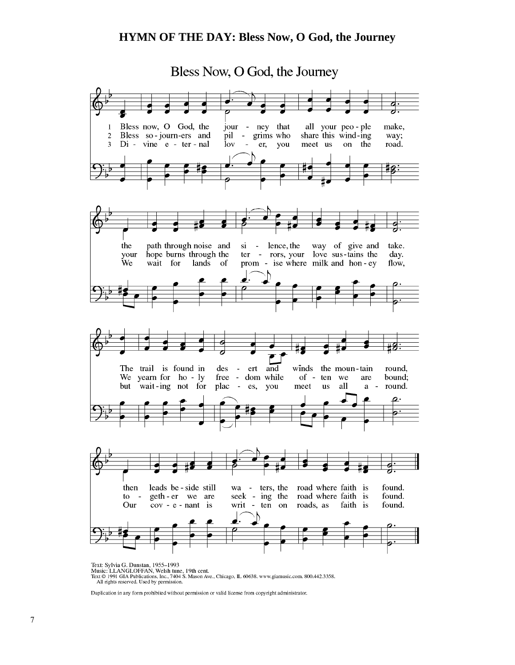#### **HYMN OF THE DAY: Bless Now, O God, the Journey**



FOR SCHOOFFAN, Welsh tune, 19th cent.<br>Text © 1991 GIA Publications, Inc., 7404 S. Mason Ave., Chicago, IL 60638. www.giamusic.com. 800.442.3358.<br>All rights reserved. Used by permission.

Duplication in any form prohibited without permission or valid license from copyright administrator.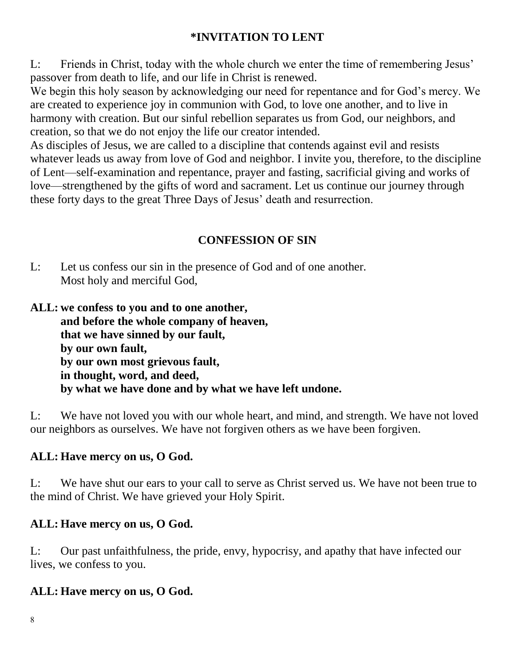# **\*INVITATION TO LENT**

L: Friends in Christ, today with the whole church we enter the time of remembering Jesus' passover from death to life, and our life in Christ is renewed.

We begin this holy season by acknowledging our need for repentance and for God's mercy. We are created to experience joy in communion with God, to love one another, and to live in harmony with creation. But our sinful rebellion separates us from God, our neighbors, and creation, so that we do not enjoy the life our creator intended.

As disciples of Jesus, we are called to a discipline that contends against evil and resists whatever leads us away from love of God and neighbor. I invite you, therefore, to the discipline of Lent—self-examination and repentance, prayer and fasting, sacrificial giving and works of love—strengthened by the gifts of word and sacrament. Let us continue our journey through these forty days to the great Three Days of Jesus' death and resurrection.

# **CONFESSION OF SIN**

- L: Let us confess our sin in the presence of God and of one another. Most holy and merciful God,
- **ALL: we confess to you and to one another, and before the whole company of heaven, that we have sinned by our fault, by our own fault, by our own most grievous fault, in thought, word, and deed, by what we have done and by what we have left undone.**

L: We have not loved you with our whole heart, and mind, and strength. We have not loved our neighbors as ourselves. We have not forgiven others as we have been forgiven.

# **ALL: Have mercy on us, O God.**

L: We have shut our ears to your call to serve as Christ served us. We have not been true to the mind of Christ. We have grieved your Holy Spirit.

# **ALL: Have mercy on us, O God.**

L: Our past unfaithfulness, the pride, envy, hypocrisy, and apathy that have infected our lives, we confess to you.

# **ALL: Have mercy on us, O God.**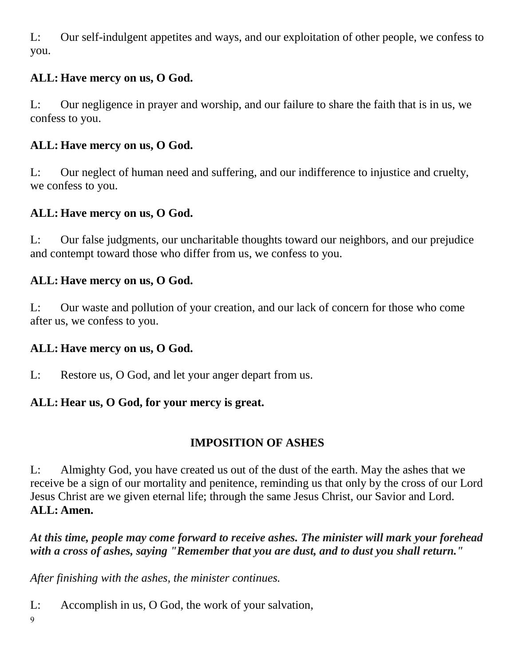L: Our self-indulgent appetites and ways, and our exploitation of other people, we confess to you.

# **ALL: Have mercy on us, O God.**

L: Our negligence in prayer and worship, and our failure to share the faith that is in us, we confess to you.

# **ALL: Have mercy on us, O God.**

L: Our neglect of human need and suffering, and our indifference to injustice and cruelty, we confess to you.

# **ALL: Have mercy on us, O God.**

L: Our false judgments, our uncharitable thoughts toward our neighbors, and our prejudice and contempt toward those who differ from us, we confess to you.

### **ALL: Have mercy on us, O God.**

L: Our waste and pollution of your creation, and our lack of concern for those who come after us, we confess to you.

# **ALL: Have mercy on us, O God.**

L: Restore us, O God, and let your anger depart from us.

# **ALL: Hear us, O God, for your mercy is great.**

# **IMPOSITION OF ASHES**

L: Almighty God, you have created us out of the dust of the earth. May the ashes that we receive be a sign of our mortality and penitence, reminding us that only by the cross of our Lord Jesus Christ are we given eternal life; through the same Jesus Christ, our Savior and Lord. **ALL: Amen.**

*At this time, people may come forward to receive ashes. The minister will mark your forehead with a cross of ashes, saying "Remember that you are dust, and to dust you shall return."*

*After finishing with the ashes, the minister continues.*

L: Accomplish in us, O God, the work of your salvation,

9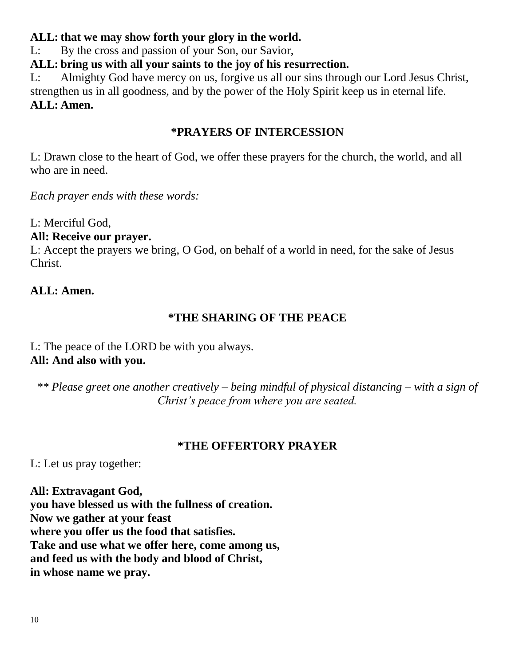## **ALL: that we may show forth your glory in the world.**

L: By the cross and passion of your Son, our Savior,

**ALL: bring us with all your saints to the joy of his resurrection.**

L: Almighty God have mercy on us, forgive us all our sins through our Lord Jesus Christ, strengthen us in all goodness, and by the power of the Holy Spirit keep us in eternal life. **ALL: Amen.**

## **\*PRAYERS OF INTERCESSION**

L: Drawn close to the heart of God, we offer these prayers for the church, the world, and all who are in need.

*Each prayer ends with these words:*

L: Merciful God,

### **All: Receive our prayer.**

L: Accept the prayers we bring, O God, on behalf of a world in need, for the sake of Jesus Christ.

### **ALL: Amen.**

# **\*THE SHARING OF THE PEACE**

L: The peace of the LORD be with you always. **All: And also with you.**

*\*\* Please greet one another creatively – being mindful of physical distancing – with a sign of Christ's peace from where you are seated.*

#### **\*THE OFFERTORY PRAYER**

L: Let us pray together:

**All: Extravagant God, you have blessed us with the fullness of creation. Now we gather at your feast where you offer us the food that satisfies. Take and use what we offer here, come among us, and feed us with the body and blood of Christ, in whose name we pray.**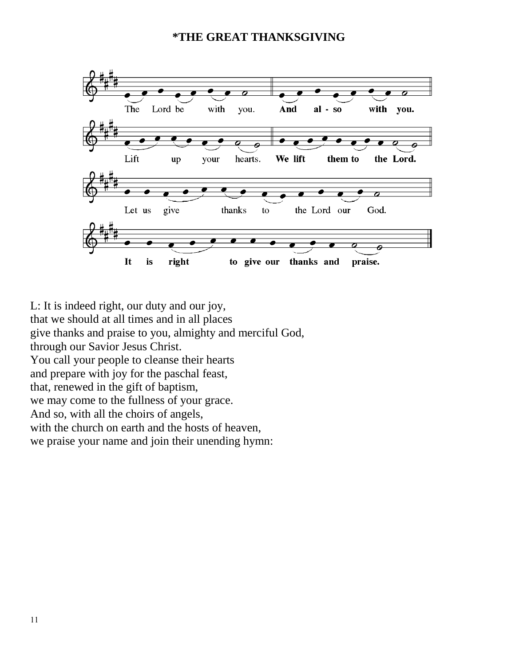#### **\*THE GREAT THANKSGIVING**



L: It is indeed right, our duty and our joy, that we should at all times and in all places give thanks and praise to you, almighty and merciful God, through our Savior Jesus Christ. You call your people to cleanse their hearts and prepare with joy for the paschal feast, that, renewed in the gift of baptism, we may come to the fullness of your grace. And so, with all the choirs of angels, with the church on earth and the hosts of heaven, we praise your name and join their unending hymn: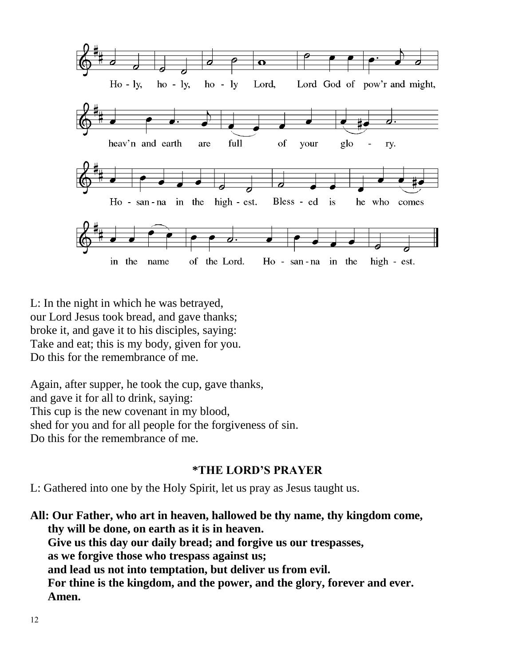

L: In the night in which he was betrayed, our Lord Jesus took bread, and gave thanks; broke it, and gave it to his disciples, saying: Take and eat; this is my body, given for you. Do this for the remembrance of me.

Again, after supper, he took the cup, gave thanks, and gave it for all to drink, saying: This cup is the new covenant in my blood, shed for you and for all people for the forgiveness of sin. Do this for the remembrance of me.

#### **\*THE LORD'S PRAYER**

L: Gathered into one by the Holy Spirit, let us pray as Jesus taught us.

**All: Our Father, who art in heaven, hallowed be thy name, thy kingdom come, thy will be done, on earth as it is in heaven. Give us this day our daily bread; and forgive us our trespasses, as we forgive those who trespass against us; and lead us not into temptation, but deliver us from evil. For thine is the kingdom, and the power, and the glory, forever and ever. Amen.**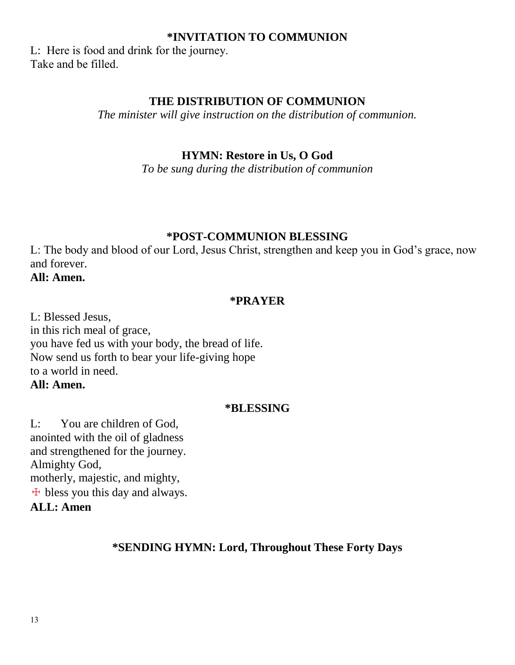#### **\*INVITATION TO COMMUNION**

L: Here is food and drink for the journey. Take and be filled.

#### **THE DISTRIBUTION OF COMMUNION**

*The minister will give instruction on the distribution of communion.*

#### **HYMN: Restore in Us, O God**

*To be sung during the distribution of communion*

#### **\*POST-COMMUNION BLESSING**

L: The body and blood of our Lord, Jesus Christ, strengthen and keep you in God's grace, now and forever.

**All: Amen.**

#### **\*PRAYER**

L: Blessed Jesus, in this rich meal of grace, you have fed us with your body, the bread of life. Now send us forth to bear your life-giving hope to a world in need. **All: Amen.**

#### **\*BLESSING**

L: You are children of God, anointed with the oil of gladness and strengthened for the journey. Almighty God, motherly, majestic, and mighty,  $\pm$  bless you this day and always. **ALL: Amen**

#### **\*SENDING HYMN: Lord, Throughout These Forty Days**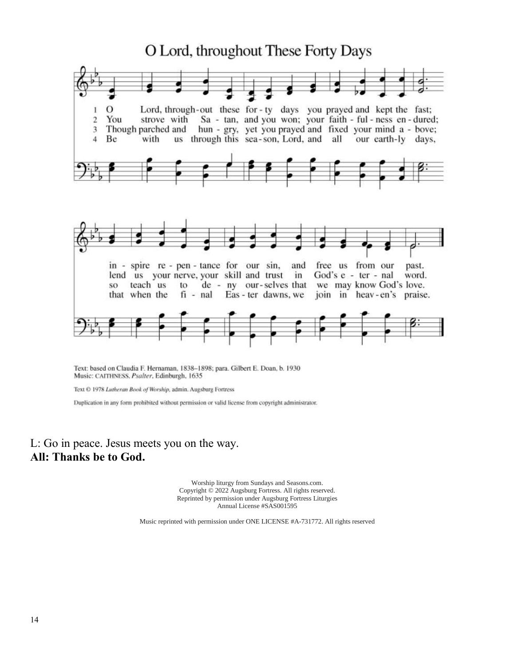

Text: based on Claudia F. Hernaman, 1838-1898; para. Gilbert E. Doan, b. 1930 Music: CAITHNESS, Psalter, Edinburgh, 1635

Text © 1978 Lutheran Book of Worship, admin. Augsburg Fortress

Duplication in any form prohibited without permission or valid license from copyright administrator.

#### L: Go in peace. Jesus meets you on the way. **All: Thanks be to God.**

Worship liturgy from Sundays and Seasons.com. Copyright © 2022 Augsburg Fortress. All rights reserved. Reprinted by permission under Augsburg Fortress Liturgies Annual License #SAS001595

Music reprinted with permission under ONE LICENSE #A-731772. All rights reserved